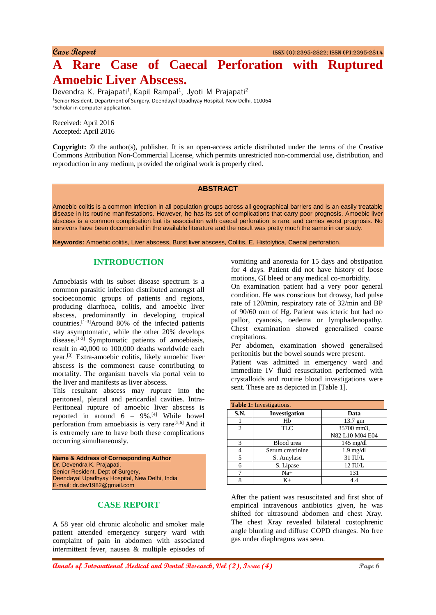**Case Report** ISSN (O):2395-2822; ISSN (P):2395-2814

# **A Rare Case of Caecal Perforation with Ruptured Amoebic Liver Abscess.**

Devendra K. Prajapati<sup>1</sup>, Kapil Rampal<sup>1</sup>, Jyoti M Prajapati<sup>2</sup> <sup>1</sup>Senior Resident, Department of Surgery, Deendayal Upadhyay Hospital, New Delhi, 110064 <sup>2</sup>Scholar in computer application.

Received: April 2016 Accepted: April 2016

**Copyright:** © the author(s), publisher. It is an open-access article distributed under the terms of the Creative Commons Attribution Non-Commercial License, which permits unrestricted non-commercial use, distribution, and reproduction in any medium, provided the original work is properly cited.

## **ABSTRACT**

Amoebic colitis is a common infection in all population groups across all geographical barriers and is an easily treatable disease in its routine manifestations. However, he has its set of complications that carry poor prognosis. Amoebic liver abscess is a common complication but its association with caecal perforation is rare, and carries worst prognosis. No survivors have been documented in the available literature and the result was pretty much the same in our study.

**Keywords:** Amoebic colitis, Liver abscess, Burst liver abscess, Colitis, E*.* Histolytica*,* Caecal perforation.

#### **INTRODUCTION**

Amoebiasis with its subset disease spectrum is a common parasitic infection distributed amongst all socioeconomic groups of patients and regions, producing diarrhoea, colitis, and amoebic liver abscess, predominantly in developing tropical countries.[1-3]Around 80% of the infected patients stay asymptomatic, while the other 20% develops disease.<sup>[1-3]</sup> Symptomatic patients of amoebiasis, result in 40,000 to 100,000 deaths worldwide each year.[3] Extra-amoebic colitis, likely amoebic liver abscess is the commonest cause contributing to mortality. The organism travels via portal vein to the liver and manifests as liver abscess.

This resultant abscess may rupture into the peritoneal, pleural and pericardial cavities. Intra-Peritoneal rupture of amoebic liver abscess is reported in around  $6 - 9\%$ .<sup>[4]</sup> While bowel perforation from amoebiasis is very rare<sup>[5,6]</sup> And it is extremely rare to have both these complications occurring simultaneously.

**Name & Address of Corresponding Author** Dr. Devendra K. Prajapati, Senior Resident, Dept of Surgery, Deendayal Upadhyay Hospital, New Delhi, India E-mail: dr.dev1982@gmail.com

## **CASE REPORT**

A 58 year old chronic alcoholic and smoker male patient attended emergency surgery ward with complaint of pain in abdomen with associated intermittent fever, nausea & multiple episodes of vomiting and anorexia for 15 days and obstipation for 4 days. Patient did not have history of loose motions, GI bleed or any medical co-morbidity.

On examination patient had a very poor general condition. He was conscious but drowsy, had pulse rate of 120/min, respiratory rate of 32/min and BP of 90/60 mm of Hg. Patient was icteric but had no pallor, cyanosis, oedema or lymphadenopathy. Chest examination showed generalised coarse crepitations.

Per abdomen, examination showed generalised peritonitis but the bowel sounds were present.

Patient was admitted in emergency ward and immediate IV fluid resuscitation performed with crystalloids and routine blood investigations were sent. These are as depicted in [Table 1].

| <b>Table 1:</b> Investigations. |                  |                     |
|---------------------------------|------------------|---------------------|
| S.N.                            | Investigation    | Data                |
|                                 | Hb               | $13.7$ gm           |
| $\mathcal{D}_{\mathcal{A}}$     | TLC.             | 35700 mm3,          |
|                                 |                  | N82 L10 M04 E04     |
| 3                               | Blood urea       | $145 \text{ mg/dl}$ |
|                                 | Serum creatinine | $1.9 \text{ mg/dl}$ |
| 5                               | S. Amylase       | 31 IU/L             |
| 6                               | S. Lipase        | 12 IU/L             |
|                                 | $Na+$            | 131                 |
| Q                               | $K+$             | 44                  |

After the patient was resuscitated and first shot of empirical intravenous antibiotics given, he was shifted for ultrasound abdomen and chest Xray. The chest Xray revealed bilateral costophrenic angle blunting and diffuse COPD changes. No free gas under diaphragms was seen.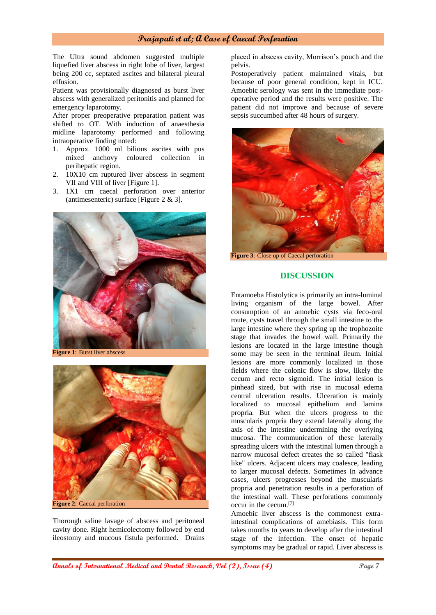#### **Prajapati et al; A Case of Caecal Perforation**

The Ultra sound abdomen suggested multiple liquefied liver abscess in right lobe of liver, largest being 200 cc, septated ascites and bilateral pleural effusion.

Patient was provisionally diagnosed as burst liver abscess with generalized peritonitis and planned for emergency laparotomy.

After proper preoperative preparation patient was shifted to OT. With induction of anaesthesia midline laparotomy performed and following intraoperative finding noted:

- 1. Approx. 1000 ml bilious ascites with pus mixed anchovy coloured collection in perihepatic region.
- 2. 10X10 cm ruptured liver abscess in segment VII and VIII of liver [Figure 1].
- 3. 1X1 cm caecal perforation over anterior (antimesenteric) surface [Figure 2 & 3].



**Figure 1**: Burst liver abscess



Thorough saline lavage of abscess and peritoneal cavity done. Right hemicolectomy followed by end ileostomy and mucous fistula performed. Drains

placed in abscess cavity, Morrison's pouch and the pelvis.

Postoperatively patient maintained vitals, but because of poor general condition, kept in ICU. Amoebic serology was sent in the immediate postoperative period and the results were positive. The patient did not improve and because of severe sepsis succumbed after 48 hours of surgery.



**DISCUSSION**

Entamoeba Histolytica is primarily an intra-luminal living organism of the large bowel. After consumption of an amoebic cysts via feco-oral route, cysts travel through the small intestine to the large intestine where they spring up the trophozoite stage that invades the bowel wall. Primarily the lesions are located in the large intestine though some may be seen in the terminal ileum. Initial lesions are more commonly localized in those fields where the colonic flow is slow, likely the cecum and recto sigmoid. The initial lesion is pinhead sized, but with rise in mucosal edema central ulceration results. Ulceration is mainly localized to mucosal epithelium and lamina propria. But when the ulcers progress to the muscularis propria they extend laterally along the axis of the intestine undermining the overlying mucosa. The communication of these laterally spreading ulcers with the intestinal lumen through a narrow mucosal defect creates the so called "flask like" ulcers. Adjacent ulcers may coalesce, leading to larger mucosal defects. Sometimes In advance cases, ulcers progresses beyond the muscularis propria and penetration results in a perforation of the intestinal wall. These perforations commonly occur in the cecum.[7]

Amoebic liver abscess is the commonest extraintestinal complications of amebiasis. This form takes months to years to develop after the intestinal stage of the infection. The onset of hepatic symptoms may be gradual or rapid. Liver abscess is